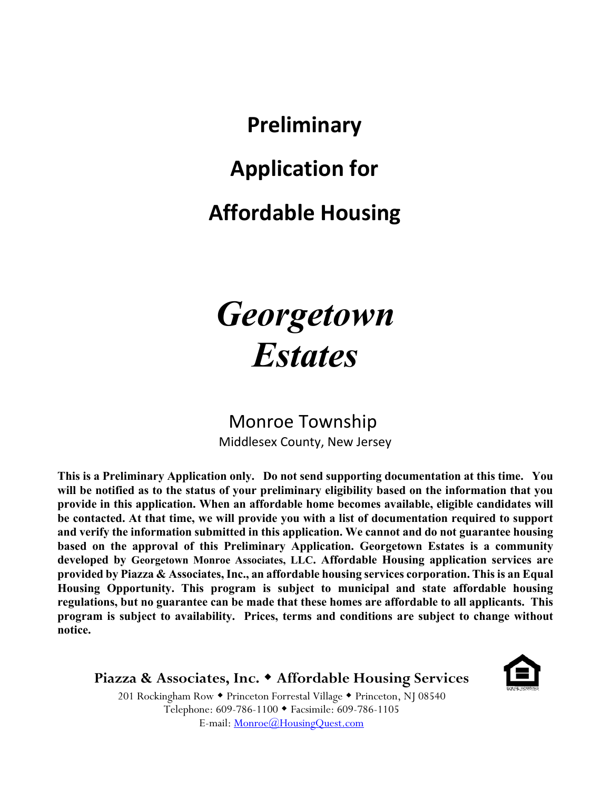**Preliminary Application for Affordable Housing**

# *Georgetown Estates*

Monroe Township Middlesex County, New Jersey

**This is a Preliminary Application only. Do not send supporting documentation at this time. You will be notified as to the status of your preliminary eligibility based on the information that you provide in this application. When an affordable home becomes available, eligible candidates will be contacted. At that time, we will provide you with a list of documentation required to support and verify the information submitted in this application. We cannot and do not guarantee housing based on the approval of this Preliminary Application. Georgetown Estates is a community developed by Georgetown Monroe Associates, LLC. Affordable Housing application services are provided by Piazza & Associates, Inc., an affordable housing services corporation. This is an Equal Housing Opportunity. This program is subject to municipal and state affordable housing regulations, but no guarantee can be made that these homes are affordable to all applicants. This program is subject to availability. Prices, terms and conditions are subject to change without notice.**

**Piazza & Associates, Inc. Affordable Housing Services**



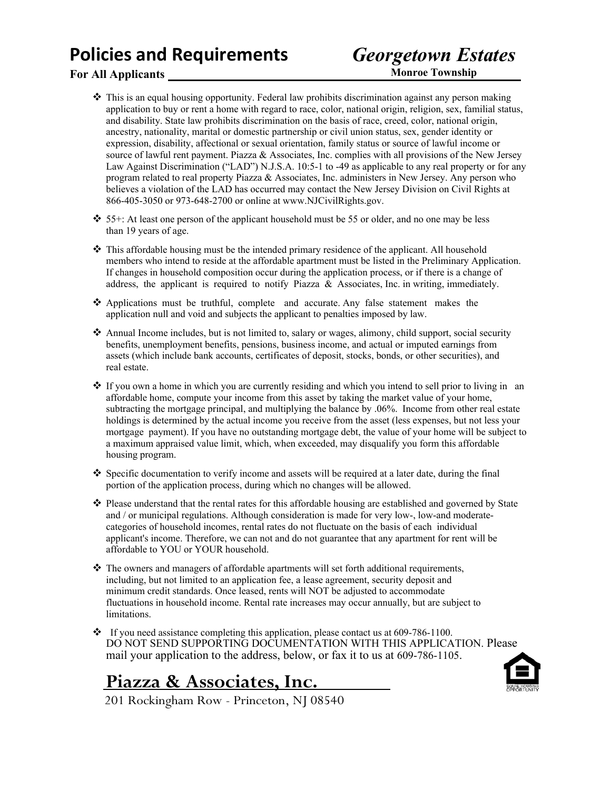## **Policies and Requirements**

## *Georgetown Estates*

## **For All Applicants**

**Monroe Township**

- ❖ This is an equal housing opportunity. Federal law prohibits discrimination against any person making application to buy or rent a home with regard to race, color, national origin, religion, sex, familial status, and disability. State law prohibits discrimination on the basis of race, creed, color, national origin, ancestry, nationality, marital or domestic partnership or civil union status, sex, gender identity or expression, disability, affectional or sexual orientation, family status or source of lawful income or source of lawful rent payment. Piazza & Associates, Inc. complies with all provisions of the New Jersey Law Against Discrimination ("LAD") N.J.S.A. 10:5-1 to -49 as applicable to any real property or for any program related to real property Piazza & Associates, Inc. administers in New Jersey. Any person who believes a violation of the LAD has occurred may contact the New Jersey Division on Civil Rights at 866-405-3050 or 973-648-2700 or online a[t www.NJCivilRights.gov.](http://www.njcivilrights.gov/)
- ❖ 55+: At least one person of the applicant household must be 55 or older, and no one may be less than 19 years of age.
- ❖ This affordable housing must be the intended primary residence of the applicant. All household members who intend to reside at the affordable apartment must be listed in the Preliminary Application. If changes in household composition occur during the application process, or if there is a change of address, the applicant is required to notify Piazza & Associates, Inc. in writing, immediately.
- ❖ Applications must be truthful, complete and accurate. Any false statement makes the application null and void and subjects the applicant to penalties imposed by law.
- ❖ Annual Income includes, but is not limited to, salary or wages, alimony, child support, social security benefits, unemployment benefits, pensions, business income, and actual or imputed earnings from assets (which include bank accounts, certificates of deposit, stocks, bonds, or other securities), and real estate.
- ❖ If you own a home in which you are currently residing and which you intend to sell prior to living in an affordable home, compute your income from this asset by taking the market value of your home, subtracting the mortgage principal, and multiplying the balance by .06%. Income from other real estate holdings is determined by the actual income you receive from the asset (less expenses, but not less your mortgage payment). If you have no outstanding mortgage debt, the value of your home will be subject to a maximum appraised value limit, which, when exceeded, may disqualify you form this affordable housing program.
- $\bullet$  Specific documentation to verify income and assets will be required at a later date, during the final portion of the application process, during which no changes will be allowed.
- ❖ Please understand that the rental rates for this affordable housing are established and governed by State and / or municipal regulations. Although consideration is made for very low-, low-and moderatecategories of household incomes, rental rates do not fluctuate on the basis of each individual applicant's income. Therefore, we can not and do not guarantee that any apartment for rent will be affordable to YOU or YOUR household.
- ❖ The owners and managers of affordable apartments will set forth additional requirements, including, but not limited to an application fee, a lease agreement, security deposit and minimum credit standards. Once leased, rents will NOT be adjusted to accommodate fluctuations in household income. Rental rate increases may occur annually, but are subject to limitations.
- ❖ If you need assistance completing this application, please contact us at 609-786-1100. DO NOT SEND SUPPORTING DOCUMENTATION WITH THIS APPLICATION. Please mail your application to the address, below, or fax it to us at 609-786-1105.

**Piazza & Associates, Inc.** 201 Rockingham Row - Princeton, NJ 08540